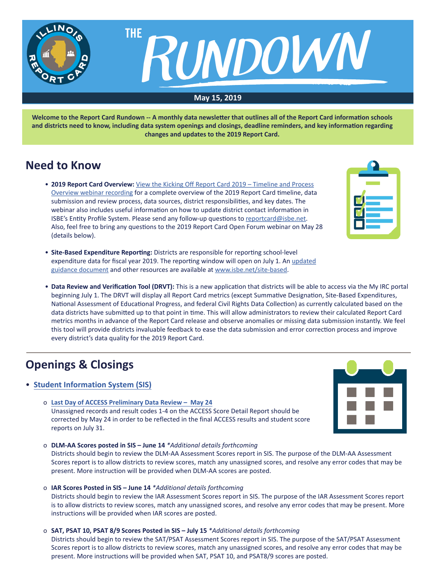

**Welcome to the Report Card Rundown -- A monthly data newsletter that outlines all of the Report Card information schools and districts need to know, including data system openings and closings, deadline reminders, and key information regarding changes and updates to the 2019 Report Card.**

## **Need to Know**

- **2019 Report Card Overview:** [View the Kicking Off Report Card 2019 Timeline and Process](https://register.gotowebinar.com/recording/3281882078871300353) [Overview webinar recording](https://register.gotowebinar.com/recording/3281882078871300353) for a complete overview of the 2019 Report Card timeline, data submission and review process, data sources, district responsibilities, and key dates. The webinar also includes useful information on how to update district contact information in ISBE's Entity Profile System. Please send any follow-up questions to [reportcard@isbe.net.](mailto:reportcard%40isbe.net?subject=) Also, feel free to bring any questions to the 2019 Report Card Open Forum webinar on May 28 (details below).
- **Site-Based Expenditure Reporting:** Districts are responsible for reporting school-level expenditure data for fiscal year 2019. The reporting window will open on July 1. An [updated](https://www.isbe.net/Documents/ISBE-Site-Based-Expenditure-Reporting-Guidance.pdf) [guidance document](https://www.isbe.net/Documents/ISBE-Site-Based-Expenditure-Reporting-Guidance.pdf) and other resources are available at [www.isbe.net/site-based](http://www.isbe.net/site-based).
- **Data Review and Verification Tool (DRVT):** This is a new application that districts will be able to access via the My IRC portal beginning July 1. The DRVT will display all Report Card metrics (except Summative Designation, Site-Based Expenditures, National Assessment of Educational Progress, and federal Civil Rights Data Collection) as currently calculated based on the data districts have submitted up to that point in time. This will allow administrators to review their calculated Report Card metrics months in advance of the Report Card release and observe anomalies or missing data submission instantly. We feel this tool will provide districts invaluable feedback to ease the data submission and error correction process and improve every district's data quality for the 2019 Report Card.

# **Openings & Closings**

### • **[Student Information System \(SIS](https://www.isbe.net/Pages/Student-Information-System.aspx))**

o **[Last Day of ACCESS Preliminary Data Review – May 24](https://www.isbe.net/Documents/Access-Scores-Memo-20190507.pdf)** Unassigned records and result codes 1-4 on the ACCESS Score Detail Report should be corrected by May 24 in order to be reflected in the final ACCESS results and student score reports on July 31.



o **DLM-AA Scores posted in SIS – June 14** *\*Additional details forthcoming* Districts should begin to review the DLM-AA Assessment Scores report in SIS. The purpose of the DLM-AA Assessment Scores report is to allow districts to review scores, match any unassigned scores, and resolve any error codes that may be present. More instruction will be provided when DLM-AA scores are posted.

### o **IAR Scores Posted in SIS – June 14** *\*Additional details forthcoming*

Districts should begin to review the IAR Assessment Scores report in SIS. The purpose of the IAR Assessment Scores report is to allow districts to review scores, match any unassigned scores, and resolve any error codes that may be present. More instructions will be provided when IAR scores are posted.

### o **SAT, PSAT 10, PSAT 8/9 Scores Posted in SIS – July 15** *\*Additional details forthcoming*

Districts should begin to review the SAT/PSAT Assessment Scores report in SIS. The purpose of the SAT/PSAT Assessment Scores report is to allow districts to review scores, match any unassigned scores, and resolve any error codes that may be present. More instructions will be provided when SAT, PSAT 10, and PSAT8/9 scores are posted.

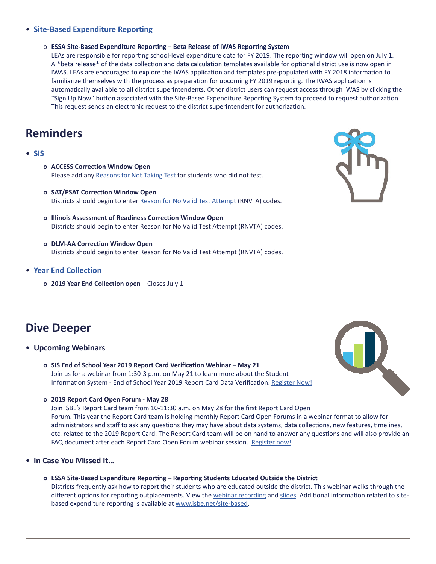### • **[Site-Based Expenditure Reporting](https://www.isbe.net/site-based)**

o **ESSA Site-Based Expenditure Reporting – Beta Release of IWAS Reporting System**

LEAs are responsible for reporting school-level expenditure data for FY 2019. The reporting window will open on July 1. A \*beta release\* of the data collection and data calculation templates available for optional district use is now open in IWAS. LEAs are encouraged to explore the IWAS application and templates pre-populated with FY 2018 information to familiarize themselves with the process as preparation for upcoming FY 2019 reporting. The IWAS application is automatically available to all district superintendents. Other district users can request access through IWAS by clicking the "Sign Up Now" button associated with the Site-Based Expenditure Reporting System to proceed to request authorization. This request sends an electronic request to the district superintendent for authorization.

### **Reminders**

- **[SIS](https://www.isbe.net/Pages/Student-Information-System.aspx)**
	- **o ACCESS Correction Window Open** Please add any Reasons for Not Taking Test for students who did not test.
	- **o SAT/PSAT Correction Window Open** Districts should begin to enter Reason for No Valid Test Attempt (RNVTA) codes.
	- **o Illinois Assessment of Readiness Correction Window Open** Districts should begin to enter [Reason for No Valid Test Attempt](https://www.isbe.net/Documents/reason-no-valid-test-attmpt.pdf) (RNVTA) codes.
	- **o DLM-AA Correction Window Open** Districts should begin to enter [Reason for No Valid Test Attempt](https://www.isbe.net/Documents/reason-no-valid-test-attmpt.pdf) (RNVTA) codes.
- **[Year End Collection](https://www.isbe.net/Documents/Year-End-data-Collection-Guidance.pdf)**
	- **o** 2019 Year End Collection open Closes July 1



# **Dive Deeper**

- **Upcoming Webinars**
	- **o SIS End of School Year 2019 Report Card Verification Webinar May 21** Join us for a webinar from 1:30-3 p.m. on May 21 to learn more about the Student Information System - End of School Year 2019 Report Card Data Verification. [Register](https://register.gotowebinar.com/register/1296482936522913539) Now!



**o 2019 Report Card Open Forum - May 28**

Join ISBE's Report Card team from 10-11:30 a.m. on May 28 for the first Report Card Open Forum. This year the Report Card team is holding monthly Report Card Open Forums in a webinar format to allow for administrators and staff to ask any questions they may have about data systems, data collections, new features, timelines, etc. related to the 2019 Report Card. The Report Card team will be on hand to answer any questions and will also provide an FAQ document after each Report Card Open Forum webinar session. [Register](https://register.gotowebinar.com/register/3948158637511180803) now!

- **In Case You Missed It…**
	- **o ESSA Site-Based Expenditure Reporting Reporting Students Educated Outside the District** Districts frequently ask how to report their students who are educated outside the district. This webinar walks through the different options for reporting outplacements. View the webinar [recording](https://register.gotowebinar.com/recording/7100858696402493443) and [slides](https://www.isbe.net/Documents/Site-Based-Expenditures-Outplacements.pdf). Additional information related to site- based expenditure reporting is available at [www.isbe.net/site-based.](http://www.isbe.net/site-based)